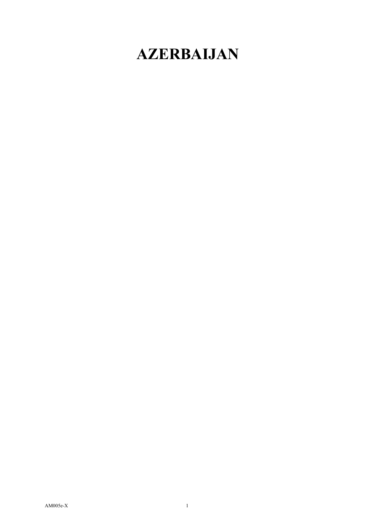# **AZERBAIJAN**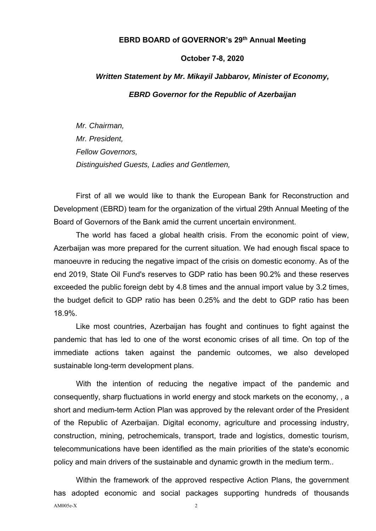### **EBRD BOARD of GOVERNOR's 29th Annual Meeting**

#### **October 7-8, 2020**

## *Written Statement by Mr. Mikayil Jabbarov, Minister of Economy,*

#### *EBRD Governor for the Republic of Azerbaijan*

*Mr. Chairman, Mr. President, Fellow Governors, Distinguished Guests, Ladies and Gentlemen,* 

First of all we would like to thank the European Bank for Reconstruction and Development (EBRD) team for the organization of the virtual 29th Annual Meeting of the Board of Governors of the Bank amid the current uncertain environment.

The world has faced a global health crisis. From the economic point of view, Azerbaijan was more prepared for the current situation. We had enough fiscal space to manoeuvre in reducing the negative impact of the crisis on domestic economy. As of the end 2019, State Oil Fund's reserves to GDP ratio has been 90.2% and these reserves exceeded the public foreign debt by 4.8 times and the annual import value by 3.2 times, the budget deficit to GDP ratio has been 0.25% and the debt to GDP ratio has been 18.9%.

Like most countries, Azerbaijan has fought and continues to fight against the pandemic that has led to one of the worst economic crises of all time. On top of the immediate actions taken against the pandemic outcomes, we also developed sustainable long-term development plans.

With the intention of reducing the negative impact of the pandemic and consequently, sharp fluctuations in world energy and stock markets on the economy, , a short and medium-term Action Plan was approved by the relevant order of the President of the Republic of Azerbaijan. Digital economy, agriculture and processing industry, construction, mining, petrochemicals, transport, trade and logistics, domestic tourism, telecommunications have been identified as the main priorities of the state's economic policy and main drivers of the sustainable and dynamic growth in the medium term..

 $AM005e-X$  2 Within the framework of the approved respective Action Plans, the government has adopted economic and social packages supporting hundreds of thousands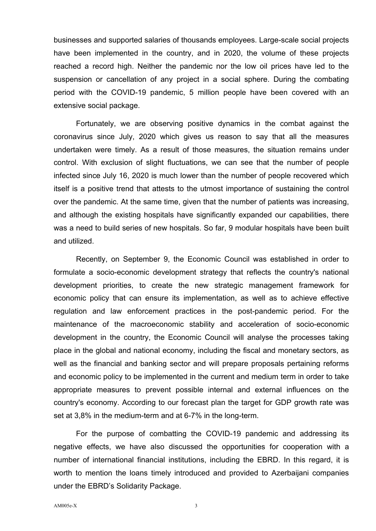businesses and supported salaries of thousands employees. Large-scale social projects have been implemented in the country, and in 2020, the volume of these projects reached a record high. Neither the pandemic nor the low oil prices have led to the suspension or cancellation of any project in a social sphere. During the combating period with the COVID-19 pandemic, 5 million people have been covered with an extensive social package.

Fortunately, we are observing positive dynamics in the combat against the coronavirus since July, 2020 which gives us reason to say that all the measures undertaken were timely. As a result of those measures, the situation remains under control. With exclusion of slight fluctuations, we can see that the number of people infected since July 16, 2020 is much lower than the number of people recovered which itself is a positive trend that attests to the utmost importance of sustaining the control over the pandemic. At the same time, given that the number of patients was increasing, and although the existing hospitals have significantly expanded our capabilities, there was a need to build series of new hospitals. So far, 9 modular hospitals have been built and utilized.

Recently, on September 9, the Economic Council was established in order to formulate a socio-economic development strategy that reflects the country's national development priorities, to create the new strategic management framework for economic policy that can ensure its implementation, as well as to achieve effective regulation and law enforcement practices in the post-pandemic period. For the maintenance of the macroeconomic stability and acceleration of socio-economic development in the country, the Economic Council will analyse the processes taking place in the global and national economy, including the fiscal and monetary sectors, as well as the financial and banking sector and will prepare proposals pertaining reforms and economic policy to be implemented in the current and medium term in order to take appropriate measures to prevent possible internal and external influences on the country's economy. According to our forecast plan the target for GDP growth rate was set at 3,8% in the medium-term and at 6-7% in the long-term.

For the purpose of combatting the COVID-19 pandemic and addressing its negative effects, we have also discussed the opportunities for cooperation with a number of international financial institutions, including the EBRD. In this regard, it is worth to mention the loans timely introduced and provided to Azerbaijani companies under the EBRD's Solidarity Package.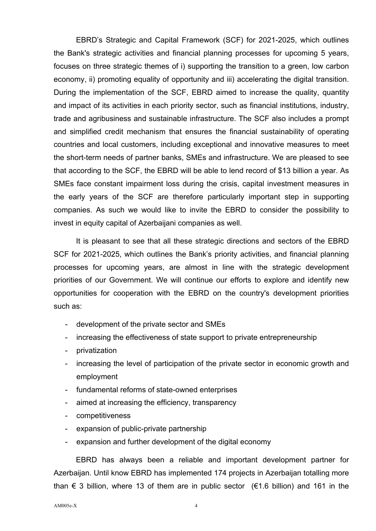EBRD's Strategic and Capital Framework (SCF) for 2021-2025, which outlines the Bank's strategic activities and financial planning processes for upcoming 5 years, focuses on three strategic themes of i) supporting the transition to a green, low carbon economy, ii) promoting equality of opportunity and iii) accelerating the digital transition. During the implementation of the SCF, EBRD aimed to increase the quality, quantity and impact of its activities in each priority sector, such as financial institutions, industry, trade and agribusiness and sustainable infrastructure. The SCF also includes a prompt and simplified credit mechanism that ensures the financial sustainability of operating countries and local customers, including exceptional and innovative measures to meet the short-term needs of partner banks, SMEs and infrastructure. We are pleased to see that according to the SCF, the EBRD will be able to lend record of \$13 billion a year. As SMEs face constant impairment loss during the crisis, capital investment measures in the early years of the SCF are therefore particularly important step in supporting companies. As such we would like to invite the EBRD to consider the possibility to invest in equity capital of Azerbaijani companies as well.

It is pleasant to see that all these strategic directions and sectors of the EBRD SCF for 2021-2025, which outlines the Bank's priority activities, and financial planning processes for upcoming years, are almost in line with the strategic development priorities of our Government. We will continue our efforts to explore and identify new opportunities for cooperation with the EBRD on the country's development priorities such as:

- development of the private sector and SMEs
- increasing the effectiveness of state support to private entrepreneurship
- privatization
- increasing the level of participation of the private sector in economic growth and employment
- fundamental reforms of state-owned enterprises
- aimed at increasing the efficiency, transparency
- competitiveness
- expansion of public-private partnership
- expansion and further development of the digital economy

EBRD has always been a reliable and important development partner for Azerbaijan. Until know EBRD has implemented 174 projects in Azerbaijan totalling more than  $\epsilon$  3 billion, where 13 of them are in public sector ( $\epsilon$ 1.6 billion) and 161 in the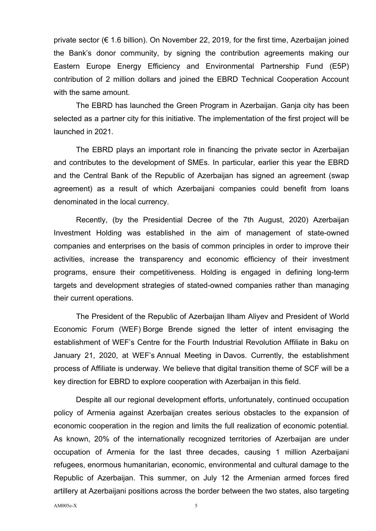private sector (€ 1.6 billion). On November 22, 2019, for the first time, Azerbaijan joined the Bank's donor community, by signing the contribution agreements making our Eastern Europe Energy Efficiency and Environmental Partnership Fund (E5P) contribution of 2 million dollars and joined the EBRD Technical Cooperation Account with the same amount.

The EBRD has launched the Green Program in Azerbaijan. Ganja city has been selected as a partner city for this initiative. The implementation of the first project will be launched in 2021.

The EBRD plays an important role in financing the private sector in Azerbaijan and contributes to the development of SMEs. In particular, earlier this year the EBRD and the Central Bank of the Republic of Azerbaijan has signed an agreement (swap agreement) as a result of which Azerbaijani companies could benefit from loans denominated in the local currency.

Recently, (by the Presidential Decree of the 7th August, 2020) Azerbaijan Investment Holding was established in the aim of management of state-owned companies and enterprises on the basis of common principles in order to improve their activities, increase the transparency and economic efficiency of their investment programs, ensure their competitiveness. Holding is engaged in defining long-term targets and development strategies of stated-owned companies rather than managing their current operations.

The President of the Republic of Azerbaijan Ilham Aliyev and President of World Economic Forum (WEF) Borge Brende signed the letter of intent envisaging the establishment of WEF's Centre for the Fourth Industrial Revolution Affiliate in Baku on January 21, 2020, at WEF's Annual Meeting in Davos. Currently, the establishment process of Affiliate is underway. We believe that digital transition theme of SCF will be a key direction for EBRD to explore cooperation with Azerbaijan in this field.

Despite all our regional development efforts, unfortunately, continued occupation policy of Armenia against Azerbaijan creates serious obstacles to the expansion of economic cooperation in the region and limits the full realization of economic potential. As known, 20% of the internationally recognized territories of Azerbaijan are under occupation of Armenia for the last three decades, causing 1 million Azerbaijani refugees, enormous humanitarian, economic, environmental and cultural damage to the Republic of Azerbaijan. This summer, on July 12 the Armenian armed forces fired artillery at Azerbaijani positions across the border between the two states, also targeting